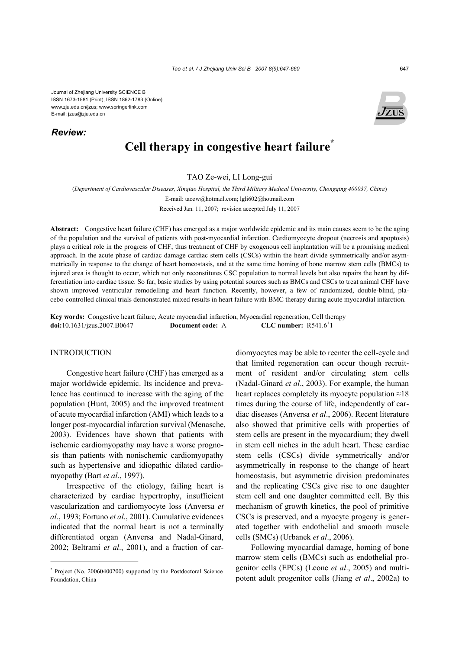Journal of Zhejiang University SCIENCE B ISSN 1673-1581 (Print); ISSN 1862-1783 (Online) www.zju.edu.cn/jzus; www.springerlink.com E-mail: jzus@zju.edu.cn

*Review:*



# **Cell therapy in congestive heart failure\***

TAO Ze-wei, LI Long-gui

(*Department of Cardiovascular Diseases, Xinqiao Hospital, the Third Military Medical University, Chongqing 400037, China*) E-mail: taozw@hotmail.com; lgli602@hotmail.com

Received Jan. 11, 2007; revision accepted July 11, 2007

**Abstract:** Congestive heart failure (CHF) has emerged as a major worldwide epidemic and its main causes seem to be the aging of the population and the survival of patients with post-myocardial infarction. Cardiomyocyte dropout (necrosis and apoptosis) plays a critical role in the progress of CHF; thus treatment of CHF by exogenous cell implantation will be a promising medical approach. In the acute phase of cardiac damage cardiac stem cells (CSCs) within the heart divide symmetrically and/or asymmetrically in response to the change of heart homeostasis, and at the same time homing of bone marrow stem cells (BMCs) to injured area is thought to occur, which not only reconstitutes CSC population to normal levels but also repairs the heart by differentiation into cardiac tissue. So far, basic studies by using potential sources such as BMCs and CSCs to treat animal CHF have shown improved ventricular remodelling and heart function. Recently, however, a few of randomized, double-blind, placebo-controlled clinical trials demonstrated mixed results in heart failure with BMC therapy during acute myocardial infarction.

**Key words:** Congestive heart failure, Acute myocardial infarction, Myocardial regeneration, Cell therapy **doi:**10.1631/jzus.2007.B0647 **Document code:** A  $CLC$  number:  $R5416^{+1}$ 

### INTRODUCTION

Congestive heart failure (CHF) has emerged as a major worldwide epidemic. Its incidence and prevalence has continued to increase with the aging of the population (Hunt, 2005) and the improved treatment of acute myocardial infarction (AMI) which leads to a longer post-myocardial infarction survival (Menasche, 2003). Evidences have shown that patients with ischemic cardiomyopathy may have a worse prognosis than patients with nonischemic cardiomyopathy such as hypertensive and idiopathic dilated cardiomyopathy (Bart *et al*., 1997).

Irrespective of the etiology, failing heart is characterized by cardiac hypertrophy, insufficient vascularization and cardiomyocyte loss (Anversa *et al*., 1993; Fortuno *et al*., 2001). Cumulative evidences indicated that the normal heart is not a terminally differentiated organ (Anversa and Nadal-Ginard, 2002; Beltrami *et al*., 2001), and a fraction of cardiomyocytes may be able to reenter the cell-cycle and that limited regeneration can occur though recruitment of resident and/or circulating stem cells (Nadal-Ginard *et al*., 2003). For example, the human heart replaces completely its myocyte population  $\approx 18$ times during the course of life, independently of cardiac diseases (Anversa *et al*., 2006). Recent literature also showed that primitive cells with properties of stem cells are present in the myocardium; they dwell in stem cell niches in the adult heart. These cardiac stem cells (CSCs) divide symmetrically and/or asymmetrically in response to the change of heart homeostasis, but asymmetric division predominates and the replicating CSCs give rise to one daughter stem cell and one daughter committed cell. By this mechanism of growth kinetics, the pool of primitive CSCs is preserved, and a myocyte progeny is generated together with endothelial and smooth muscle cells (SMCs) (Urbanek *et al*., 2006).

Following myocardial damage, homing of bone marrow stem cells (BMCs) such as endothelial progenitor cells (EPCs) (Leone *et al*., 2005) and multipotent adult progenitor cells (Jiang *et al*., 2002a) to

<sup>\*</sup> Project (No. 20060400200) supported by the Postdoctoral Science Foundation, China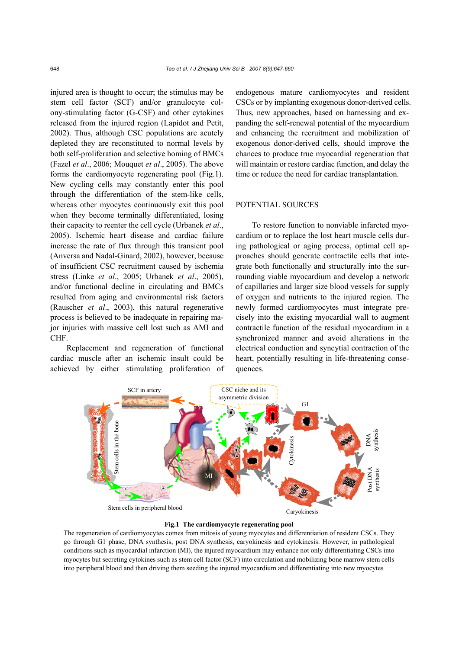injured area is thought to occur; the stimulus may be stem cell factor (SCF) and/or granulocyte colony-stimulating factor (G-CSF) and other cytokines released from the injured region (Lapidot and Petit, 2002). Thus, although CSC populations are acutely depleted they are reconstituted to normal levels by both self-proliferation and selective homing of BMCs (Fazel *et al*., 2006; Mouquet *et al*., 2005). The above forms the cardiomyocyte regenerating pool (Fig.1). New cycling cells may constantly enter this pool through the differentiation of the stem-like cells, whereas other myocytes continuously exit this pool when they become terminally differentiated, losing their capacity to reenter the cell cycle (Urbanek *et al*., 2005). Ischemic heart disease and cardiac failure increase the rate of flux through this transient pool (Anversa and Nadal-Ginard, 2002), however, because of insufficient CSC recruitment caused by ischemia stress (Linke *et al*., 2005; Urbanek *et al*., 2005), and/or functional decline in circulating and BMCs resulted from aging and environmental risk factors (Rauscher *et al*., 2003), this natural regenerative process is believed to be inadequate in repairing major injuries with massive cell lost such as AMI and CHF.

Replacement and regeneration of functional cardiac muscle after an ischemic insult could be achieved by either stimulating proliferation of endogenous mature cardiomyocytes and resident CSCs or by implanting exogenous donor-derived cells. Thus, new approaches, based on harnessing and expanding the self-renewal potential of the myocardium and enhancing the recruitment and mobilization of exogenous donor-derived cells, should improve the chances to produce true myocardial regeneration that will maintain or restore cardiac function, and delay the time or reduce the need for cardiac transplantation.

## POTENTIAL SOURCES

To restore function to nonviable infarcted myocardium or to replace the lost heart muscle cells during pathological or aging process, optimal cell approaches should generate contractile cells that integrate both functionally and structurally into the surrounding viable myocardium and develop a network of capillaries and larger size blood vessels for supply of oxygen and nutrients to the injured region. The newly formed cardiomyocytes must integrate precisely into the existing myocardial wall to augment contractile function of the residual myocardium in a synchronized manner and avoid alterations in the electrical conduction and syncytial contraction of the heart, potentially resulting in life-threatening consequences.



#### **Fig.1 The cardiomyocyte regenerating pool**

The regeneration of cardiomyocytes comes from mitosis of young myocytes and differentiation of resident CSCs. They go through G1 phase, DNA synthesis, post DNA synthesis, caryokinesis and cytokinesis. However, in pathological conditions such as myocardial infarction (MI), the injured myocardium may enhance not only differentiating CSCs into myocytes but secreting cytokines such as stem cell factor (SCF) into circulation and mobilizing bone marrow stem cells into peripheral blood and then driving them seeding the injured myocardium and differentiating into new myocytes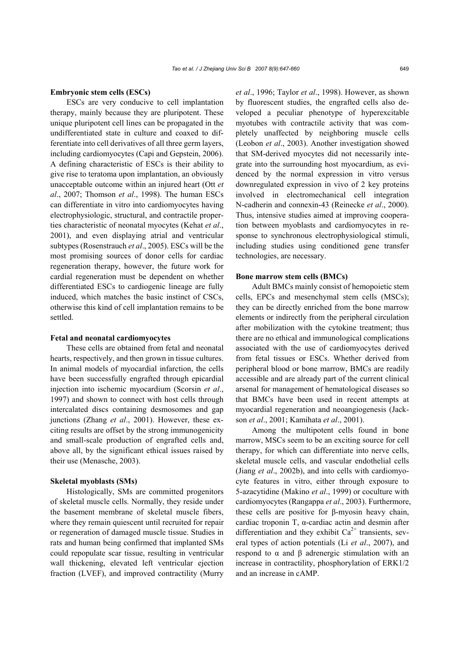#### **Embryonic stem cells (ESCs)**

ESCs are very conducive to cell implantation therapy, mainly because they are pluripotent. These unique pluripotent cell lines can be propagated in the undifferentiated state in culture and coaxed to differentiate into cell derivatives of all three germ layers, including cardiomyocytes (Capi and Gepstein, 2006). A defining characteristic of ESCs is their ability to give rise to teratoma upon implantation, an obviously unacceptable outcome within an injured heart (Ott *et al*., 2007; Thomson *et al*., 1998). The human ESCs can differentiate in vitro into cardiomyocytes having electrophysiologic, structural, and contractile properties characteristic of neonatal myocytes (Kehat *et al*., 2001), and even displaying atrial and ventricular subtypes (Rosenstrauch *et al*., 2005). ESCs will be the most promising sources of donor cells for cardiac regeneration therapy, however, the future work for cardial regeneration must be dependent on whether differentiated ESCs to cardiogenic lineage are fully induced, which matches the basic instinct of CSCs, otherwise this kind of cell implantation remains to be settled.

#### **Fetal and neonatal cardiomyocytes**

These cells are obtained from fetal and neonatal hearts, respectively, and then grown in tissue cultures. In animal models of myocardial infarction, the cells have been successfully engrafted through epicardial injection into ischemic myocardium (Scorsin *et al*., 1997) and shown to connect with host cells through intercalated discs containing desmosomes and gap junctions (Zhang *et al*., 2001). However, these exciting results are offset by the strong immunogenicity and small-scale production of engrafted cells and, above all, by the significant ethical issues raised by their use (Menasche, 2003).

#### **Skeletal myoblasts (SMs)**

Histologically, SMs are committed progenitors of skeletal muscle cells. Normally, they reside under the basement membrane of skeletal muscle fibers, where they remain quiescent until recruited for repair or regeneration of damaged muscle tissue. Studies in rats and human being confirmed that implanted SMs could repopulate scar tissue, resulting in ventricular wall thickening, elevated left ventricular ejection fraction (LVEF), and improved contractility (Murry *et al*., 1996; Taylor *et al*., 1998). However, as shown by fluorescent studies, the engrafted cells also developed a peculiar phenotype of hyperexcitable myotubes with contractile activity that was completely unaffected by neighboring muscle cells (Leobon *et al*., 2003). Another investigation showed that SM-derived myocytes did not necessarily integrate into the surrounding host myocardium, as evidenced by the normal expression in vitro versus downregulated expression in vivo of 2 key proteins involved in electromechanical cell integration N-cadherin and connexin-43 (Reinecke *et al*., 2000). Thus, intensive studies aimed at improving cooperation between myoblasts and cardiomyocytes in response to synchronous electrophysiological stimuli, including studies using conditioned gene transfer technologies, are necessary.

#### **Bone marrow stem cells (BMCs)**

Adult BMCs mainly consist of hemopoietic stem cells, EPCs and mesenchymal stem cells (MSCs); they can be directly enriched from the bone marrow elements or indirectly from the peripheral circulation after mobilization with the cytokine treatment; thus there are no ethical and immunological complications associated with the use of cardiomyocytes derived from fetal tissues or ESCs. Whether derived from peripheral blood or bone marrow, BMCs are readily accessible and are already part of the current clinical arsenal for management of hematological diseases so that BMCs have been used in recent attempts at myocardial regeneration and neoangiogenesis (Jackson *et al*., 2001; Kamihata *et al*., 2001).

Among the multipotent cells found in bone marrow, MSCs seem to be an exciting source for cell therapy, for which can differentiate into nerve cells, skeletal muscle cells, and vascular endothelial cells (Jiang *et al*., 2002b), and into cells with cardiomyocyte features in vitro, either through exposure to 5-azacytidine (Makino *et al*., 1999) or coculture with cardiomyocytes (Rangappa *et al*., 2003). Furthermore, these cells are positive for β-myosin heavy chain, cardiac troponin T, α-cardiac actin and desmin after differentiation and they exhibit  $Ca^{2+}$  transients, several types of action potentials (Li *et al*., 2007), and respond to α and β adrenergic stimulation with an increase in contractility, phosphorylation of ERK1/2 and an increase in cAMP.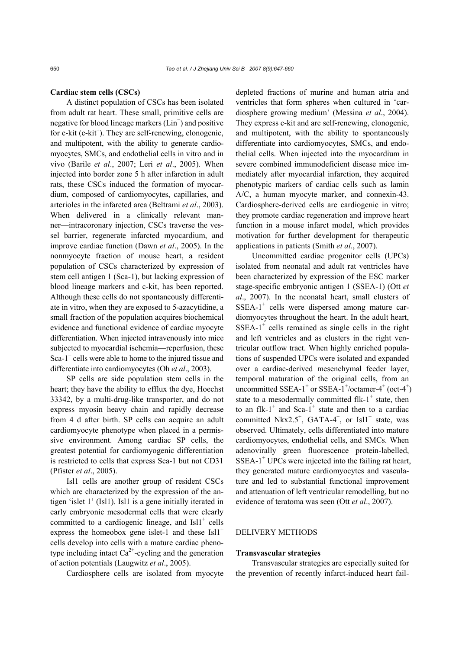### **Cardiac stem cells (CSCs)**

A distinct population of CSCs has been isolated from adult rat heart. These small, primitive cells are negative for blood lineage markers (Lin<sup>−</sup> ) and positive for c-kit (c-kit<sup>+</sup>). They are self-renewing, clonogenic, and multipotent, with the ability to generate cardiomyocytes, SMCs, and endothelial cells in vitro and in vivo (Barile *et al*., 2007; Leri *et al*., 2005). When injected into border zone 5 h after infarction in adult rats, these CSCs induced the formation of myocardium, composed of cardiomyocytes, capillaries, and arterioles in the infarcted area (Beltrami *et al*., 2003). When delivered in a clinically relevant manner—intracoronary injection, CSCs traverse the vessel barrier, regenerate infarcted myocardium, and improve cardiac function (Dawn *et al*., 2005). In the nonmyocyte fraction of mouse heart, a resident population of CSCs characterized by expression of stem cell antigen 1 (Sca-1), but lacking expression of blood lineage markers and c-kit, has been reported. Although these cells do not spontaneously differentiate in vitro, when they are exposed to 5-azacytidine, a small fraction of the population acquires biochemical evidence and functional evidence of cardiac myocyte differentiation. When injected intravenously into mice subjected to myocardial ischemia—reperfusion, these Sca-1<sup>+</sup> cells were able to home to the injured tissue and differentiate into cardiomyocytes (Oh *et al*., 2003).

SP cells are side population stem cells in the heart; they have the ability to efflux the dye, Hoechst 33342, by a multi-drug-like transporter, and do not express myosin heavy chain and rapidly decrease from 4 d after birth. SP cells can acquire an adult cardiomyocyte phenotype when placed in a permissive environment. Among cardiac SP cells, the greatest potential for cardiomyogenic differentiation is restricted to cells that express Sca-1 but not CD31 (Pfister *et al*., 2005).

Isl1 cells are another group of resident CSCs which are characterized by the expression of the antigen 'islet 1' (Isl1). Isl1 is a gene initially iterated in early embryonic mesodermal cells that were clearly committed to a cardiogenic lineage, and  $\text{Isll}^+$  cells express the homeobox gene islet-1 and these  $\text{Isll}^+$ cells develop into cells with a mature cardiac phenotype including intact  $Ca^{2+}$ -cycling and the generation of action potentials (Laugwitz *et al*., 2005).

Cardiosphere cells are isolated from myocyte

depleted fractions of murine and human atria and ventricles that form spheres when cultured in 'cardiosphere growing medium' (Messina *et al*., 2004). They express c-kit and are self-renewing, clonogenic, and multipotent, with the ability to spontaneously differentiate into cardiomyocytes, SMCs, and endothelial cells. When injected into the myocardium in severe combined immunodeficient disease mice immediately after myocardial infarction, they acquired phenotypic markers of cardiac cells such as lamin A/C, a human myocyte marker, and connexin-43. Cardiosphere-derived cells are cardiogenic in vitro; they promote cardiac regeneration and improve heart function in a mouse infarct model, which provides motivation for further development for therapeutic applications in patients (Smith *et al*., 2007).

Uncommitted cardiac progenitor cells (UPCs) isolated from neonatal and adult rat ventricles have been characterized by expression of the ESC marker stage-specific embryonic antigen 1 (SSEA-1) (Ott *et al*., 2007). In the neonatal heart, small clusters of SSEA-1<sup>+</sup> cells were dispersed among mature cardiomyocytes throughout the heart. In the adult heart,  $SSEA-1$ <sup>+</sup> cells remained as single cells in the right and left ventricles and as clusters in the right ventricular outflow tract. When highly enriched populations of suspended UPCs were isolated and expanded over a cardiac-derived mesenchymal feeder layer, temporal maturation of the original cells, from an uncommitted SSEA-1<sup>+</sup> or SSEA-1<sup>+</sup>/octamer-4<sup>+</sup> (oct-4<sup>+</sup>) state to a mesodermally committed  $f$ lk- $1^+$  state, then to an flk-1<sup>+</sup> and Sca-1<sup>+</sup> state and then to a cardiac committed Nkx2.5<sup>+</sup>, GATA-4<sup>+</sup>, or Isl1<sup>+</sup> state, was observed. Ultimately, cells differentiated into mature cardiomyocytes, endothelial cells, and SMCs. When adenovirally green fluorescence protein-labelled, SSEA-1<sup>+</sup> UPCs were injected into the failing rat heart, they generated mature cardiomyocytes and vasculature and led to substantial functional improvement and attenuation of left ventricular remodelling, but no evidence of teratoma was seen (Ott *et al*., 2007).

## DELIVERY METHODS

#### **Transvascular strategies**

Transvascular strategies are especially suited for the prevention of recently infarct-induced heart fail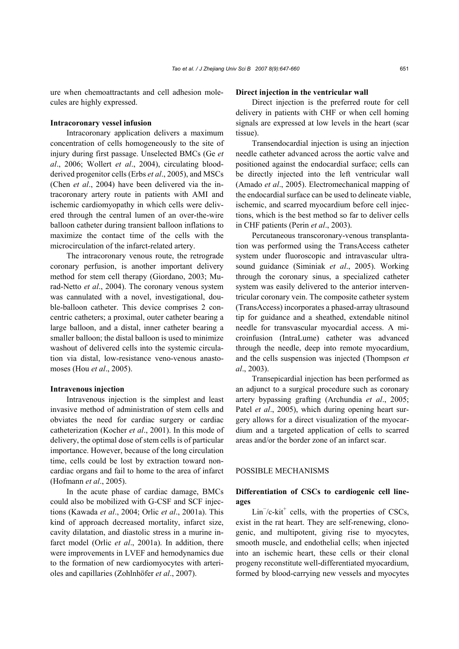ure when chemoattractants and cell adhesion molecules are highly expressed.

#### **Intracoronary vessel infusion**

Intracoronary application delivers a maximum concentration of cells homogeneously to the site of injury during first passage. Unselected BMCs (Ge *et al*., 2006; Wollert *et al*., 2004), circulating bloodderived progenitor cells (Erbs *et al*., 2005), and MSCs (Chen *et al*., 2004) have been delivered via the intracoronary artery route in patients with AMI and ischemic cardiomyopathy in which cells were delivered through the central lumen of an over-the-wire balloon catheter during transient balloon inflations to maximize the contact time of the cells with the microcirculation of the infarct-related artery.

The intracoronary venous route, the retrograde coronary perfusion, is another important delivery method for stem cell therapy (Giordano, 2003; Murad-Netto *et al*., 2004). The coronary venous system was cannulated with a novel, investigational, double-balloon catheter. This device comprises 2 concentric catheters; a proximal, outer catheter bearing a large balloon, and a distal, inner catheter bearing a smaller balloon; the distal balloon is used to minimize washout of delivered cells into the systemic circulation via distal, low-resistance veno-venous anastomoses (Hou *et al*., 2005).

#### **Intravenous injection**

Intravenous injection is the simplest and least invasive method of administration of stem cells and obviates the need for cardiac surgery or cardiac catheterization (Kocher *et al*., 2001). In this mode of delivery, the optimal dose of stem cells is of particular importance. However, because of the long circulation time, cells could be lost by extraction toward noncardiac organs and fail to home to the area of infarct (Hofmann *et al*., 2005).

In the acute phase of cardiac damage, BMCs could also be mobilized with G-CSF and SCF injections (Kawada *et al*., 2004; Orlic *et al*., 2001a). This kind of approach decreased mortality, infarct size, cavity dilatation, and diastolic stress in a murine infarct model (Orlic *et al*., 2001a). In addition, there were improvements in LVEF and hemodynamics due to the formation of new cardiomyocytes with arterioles and capillaries (Zohlnhöfer *et al*., 2007).

#### **Direct injection in the ventricular wall**

Direct injection is the preferred route for cell delivery in patients with CHF or when cell homing signals are expressed at low levels in the heart (scar tissue).

Transendocardial injection is using an injection needle catheter advanced across the aortic valve and positioned against the endocardial surface; cells can be directly injected into the left ventricular wall (Amado *et al*., 2005). Electromechanical mapping of the endocardial surface can be used to delineate viable, ischemic, and scarred myocardium before cell injections, which is the best method so far to deliver cells in CHF patients (Perin *et al*., 2003).

Percutaneous transcoronary-venous transplantation was performed using the TransAccess catheter system under fluoroscopic and intravascular ultrasound guidance (Siminiak *et al*., 2005). Working through the coronary sinus, a specialized catheter system was easily delivered to the anterior interventricular coronary vein. The composite catheter system (TransAccess) incorporates a phased-array ultrasound tip for guidance and a sheathed, extendable nitinol needle for transvascular myocardial access. A microinfusion (IntraLume) catheter was advanced through the needle, deep into remote myocardium, and the cells suspension was injected (Thompson *et al*., 2003).

Transepicardial injection has been performed as an adjunct to a surgical procedure such as coronary artery bypassing grafting (Archundia *et al*., 2005; Patel *et al.*, 2005), which during opening heart surgery allows for a direct visualization of the myocardium and a targeted application of cells to scarred areas and/or the border zone of an infarct scar.

## POSSIBLE MECHANISMS

## **Differentiation of CSCs to cardiogenic cell lineages**

 $Lin^{-}/c$ -kit<sup>+</sup> cells, with the properties of CSCs, exist in the rat heart. They are self-renewing, clonogenic, and multipotent, giving rise to myocytes, smooth muscle, and endothelial cells; when injected into an ischemic heart, these cells or their clonal progeny reconstitute well-differentiated myocardium, formed by blood-carrying new vessels and myocytes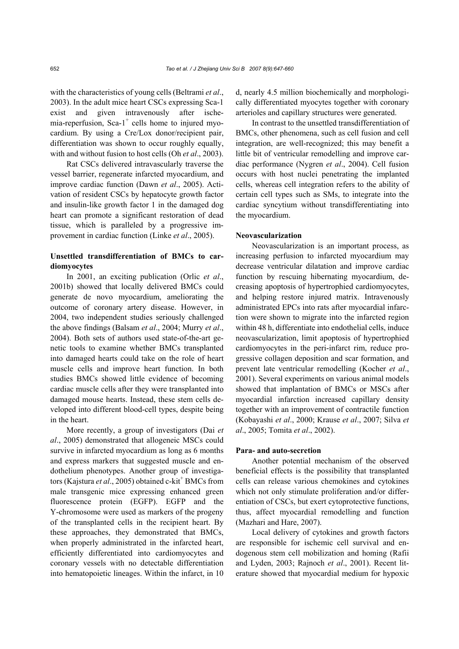with the characteristics of young cells (Beltrami *et al*., 2003). In the adult mice heart CSCs expressing Sca-1 exist and given intravenously after ischemia-reperfusion, Sca-1<sup>+</sup> cells home to injured myocardium. By using a Cre/Lox donor/recipient pair, differentiation was shown to occur roughly equally, with and without fusion to host cells (Oh *et al*., 2003).

Rat CSCs delivered intravascularly traverse the vessel barrier, regenerate infarcted myocardium, and improve cardiac function (Dawn *et al*., 2005). Activation of resident CSCs by hepatocyte growth factor and insulin-like growth factor 1 in the damaged dog heart can promote a significant restoration of dead tissue, which is paralleled by a progressive improvement in cardiac function (Linke *et al*., 2005).

# **Unsettled transdifferentiation of BMCs to cardiomyocytes**

In 2001, an exciting publication (Orlic *et al*., 2001b) showed that locally delivered BMCs could generate de novo myocardium, ameliorating the outcome of coronary artery disease. However, in 2004, two independent studies seriously challenged the above findings (Balsam *et al*., 2004; Murry *et al*., 2004). Both sets of authors used state-of-the-art genetic tools to examine whether BMCs transplanted into damaged hearts could take on the role of heart muscle cells and improve heart function. In both studies BMCs showed little evidence of becoming cardiac muscle cells after they were transplanted into damaged mouse hearts. Instead, these stem cells developed into different blood-cell types, despite being in the heart.

More recently, a group of investigators (Dai *et al*., 2005) demonstrated that allogeneic MSCs could survive in infarcted myocardium as long as 6 months and express markers that suggested muscle and endothelium phenotypes. Another group of investigators (Kajstura et al., 2005) obtained c-kit<sup>+</sup> BMCs from male transgenic mice expressing enhanced green fluorescence protein (EGFP). EGFP and the Y-chromosome were used as markers of the progeny of the transplanted cells in the recipient heart. By these approaches, they demonstrated that BMCs, when properly administrated in the infarcted heart, efficiently differentiated into cardiomyocytes and coronary vessels with no detectable differentiation into hematopoietic lineages. Within the infarct, in 10

d, nearly 4.5 million biochemically and morphologically differentiated myocytes together with coronary arterioles and capillary structures were generated.

In contrast to the unsettled transdifferentiation of BMCs, other phenomena, such as cell fusion and cell integration, are well-recognized; this may benefit a little bit of ventricular remodelling and improve cardiac performance (Nygren *et al*., 2004). Cell fusion occurs with host nuclei penetrating the implanted cells, whereas cell integration refers to the ability of certain cell types such as SMs, to integrate into the cardiac syncytium without transdifferentiating into the myocardium.

#### **Neovascularization**

Neovascularization is an important process, as increasing perfusion to infarcted myocardium may decrease ventricular dilatation and improve cardiac function by rescuing hibernating myocardium, decreasing apoptosis of hypertrophied cardiomyocytes, and helping restore injured matrix. Intravenously administrated EPCs into rats after myocardial infarction were shown to migrate into the infarcted region within 48 h, differentiate into endothelial cells, induce neovascularization, limit apoptosis of hypertrophied cardiomyocytes in the peri-infarct rim, reduce progressive collagen deposition and scar formation, and prevent late ventricular remodelling (Kocher *et al*., 2001). Several experiments on various animal models showed that implantation of BMCs or MSCs after myocardial infarction increased capillary density together with an improvement of contractile function (Kobayashi *et al*., 2000; Krause *et al*., 2007; Silva *et al*., 2005; Tomita *et al*., 2002).

#### **Para- and auto-secretion**

Another potential mechanism of the observed beneficial effects is the possibility that transplanted cells can release various chemokines and cytokines which not only stimulate proliferation and/or differentiation of CSCs, but exert cytoprotective functions, thus, affect myocardial remodelling and function (Mazhari and Hare, 2007).

Local delivery of cytokines and growth factors are responsible for ischemic cell survival and endogenous stem cell mobilization and homing (Rafii and Lyden, 2003; Rajnoch *et al*., 2001). Recent literature showed that myocardial medium for hypoxic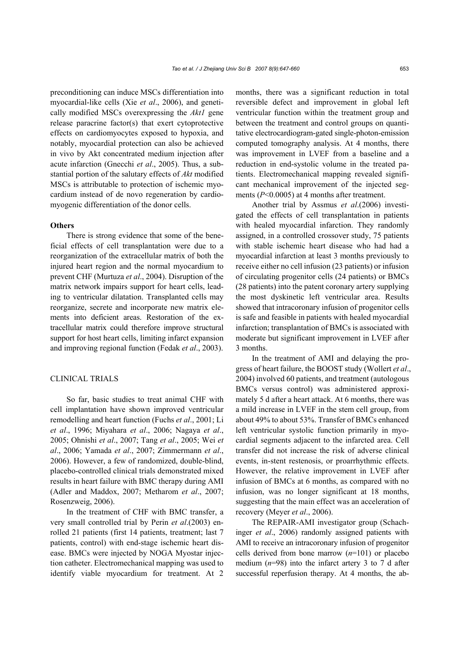preconditioning can induce MSCs differentiation into myocardial-like cells (Xie *et al*., 2006), and genetically modified MSCs overexpressing the *Akt1* gene release paracrine factor(s) that exert cytoprotective effects on cardiomyocytes exposed to hypoxia, and notably, myocardial protection can also be achieved in vivo by Akt concentrated medium injection after acute infarction (Gnecchi *et al*., 2005). Thus, a substantial portion of the salutary effects of *Akt* modified MSCs is attributable to protection of ischemic myocardium instead of de novo regeneration by cardiomyogenic differentiation of the donor cells.

# **Others**

There is strong evidence that some of the beneficial effects of cell transplantation were due to a reorganization of the extracellular matrix of both the injured heart region and the normal myocardium to prevent CHF (Murtuza *et al*., 2004). Disruption of the matrix network impairs support for heart cells, leading to ventricular dilatation. Transplanted cells may reorganize, secrete and incorporate new matrix elements into deficient areas. Restoration of the extracellular matrix could therefore improve structural support for host heart cells, limiting infarct expansion and improving regional function (Fedak *et al*., 2003).

## CLINICAL TRIALS

So far, basic studies to treat animal CHF with cell implantation have shown improved ventricular remodelling and heart function (Fuchs *et al*., 2001; Li *et al*., 1996; Miyahara *et al*., 2006; Nagaya *et al*., 2005; Ohnishi *et al*., 2007; Tang *et al*., 2005; Wei *et al*., 2006; Yamada *et al*., 2007; Zimmermann *et al*., 2006). However, a few of randomized, double-blind, placebo-controlled clinical trials demonstrated mixed results in heart failure with BMC therapy during AMI (Adler and Maddox, 2007; Metharom *et al*., 2007; Rosenzweig, 2006).

In the treatment of CHF with BMC transfer, a very small controlled trial by Perin *et al*.(2003) enrolled 21 patients (first 14 patients, treatment; last 7 patients, control) with end-stage ischemic heart disease. BMCs were injected by NOGA Myostar injection catheter. Electromechanical mapping was used to identify viable myocardium for treatment. At 2

months, there was a significant reduction in total reversible defect and improvement in global left ventricular function within the treatment group and between the treatment and control groups on quantitative electrocardiogram-gated single-photon-emission computed tomography analysis. At 4 months, there was improvement in LVEF from a baseline and a reduction in end-systolic volume in the treated patients. Electromechanical mapping revealed significant mechanical improvement of the injected segments (*P*<0.0005) at 4 months after treatment.

Another trial by Assmus *et al*.(2006) investigated the effects of cell transplantation in patients with healed myocardial infarction. They randomly assigned, in a controlled crossover study, 75 patients with stable ischemic heart disease who had had a myocardial infarction at least 3 months previously to receive either no cell infusion (23 patients) or infusion of circulating progenitor cells (24 patients) or BMCs (28 patients) into the patent coronary artery supplying the most dyskinetic left ventricular area. Results showed that intracoronary infusion of progenitor cells is safe and feasible in patients with healed myocardial infarction; transplantation of BMCs is associated with moderate but significant improvement in LVEF after 3 months.

In the treatment of AMI and delaying the progress of heart failure, the BOOST study (Wollert *et al*., 2004) involved 60 patients, and treatment (autologous BMCs versus control) was administered approximately 5 d after a heart attack. At 6 months, there was a mild increase in LVEF in the stem cell group, from about 49% to about 53%. Transfer of BMCs enhanced left ventricular systolic function primarily in myocardial segments adjacent to the infarcted area. Cell transfer did not increase the risk of adverse clinical events, in-stent restenosis, or proarrhythmic effects. However, the relative improvement in LVEF after infusion of BMCs at 6 months, as compared with no infusion, was no longer significant at 18 months, suggesting that the main effect was an acceleration of recovery (Meyer *et al*., 2006).

The REPAIR-AMI investigator group (Schachinger *et al*., 2006) randomly assigned patients with AMI to receive an intracoronary infusion of progenitor cells derived from bone marrow (*n*=101) or placebo medium (*n*=98) into the infarct artery 3 to 7 d after successful reperfusion therapy. At 4 months, the ab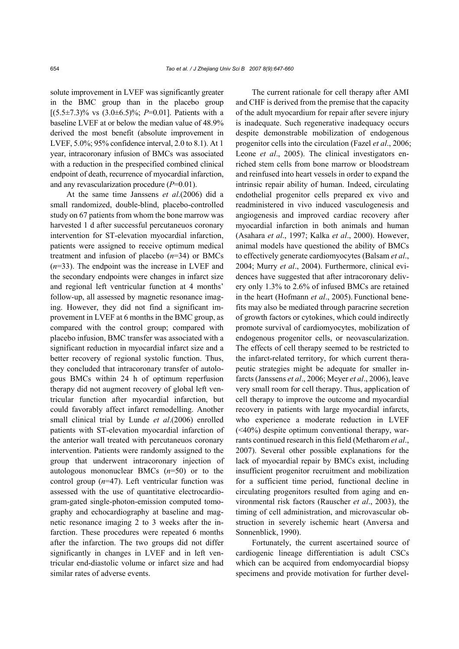solute improvement in LVEF was significantly greater in the BMC group than in the placebo group  $[(5.5\pm7.3)\%$  vs  $(3.0\pm6.5)\%$ ; *P*=0.01]. Patients with a baseline LVEF at or below the median value of 48.9% derived the most benefit (absolute improvement in LVEF, 5.0%; 95% confidence interval, 2.0 to 8.1). At 1 year, intracoronary infusion of BMCs was associated with a reduction in the prespecified combined clinical endpoint of death, recurrence of myocardial infarction, and any revascularization procedure (*P*=0.01).

At the same time Janssens *et al*.(2006) did a small randomized, double-blind, placebo-controlled study on 67 patients from whom the bone marrow was harvested 1 d after successful percutaneuos coronary intervention for ST-elevation myocardial infarction, patients were assigned to receive optimum medical treatment and infusion of placebo (*n*=34) or BMCs (*n*=33). The endpoint was the increase in LVEF and the secondary endpoints were changes in infarct size and regional left ventricular function at 4 months' follow-up, all assessed by magnetic resonance imaging. However, they did not find a significant improvement in LVEF at 6 months in the BMC group, as compared with the control group; compared with placebo infusion, BMC transfer was associated with a significant reduction in myocardial infarct size and a better recovery of regional systolic function. Thus, they concluded that intracoronary transfer of autologous BMCs within 24 h of optimum reperfusion therapy did not augment recovery of global left ventricular function after myocardial infarction, but could favorably affect infarct remodelling. Another small clinical trial by Lunde *et al*.(2006) enrolled patients with ST-elevation myocardial infarction of the anterior wall treated with percutaneuos coronary intervention. Patients were randomly assigned to the group that underwent intracoronary injection of autologous mononuclear BMCs (*n*=50) or to the control group (*n*=47). Left ventricular function was assessed with the use of quantitative electrocardiogram-gated single-photon-emission computed tomography and echocardiography at baseline and magnetic resonance imaging 2 to 3 weeks after the infarction. These procedures were repeated 6 months after the infarction. The two groups did not differ significantly in changes in LVEF and in left ventricular end-diastolic volume or infarct size and had similar rates of adverse events.

The current rationale for cell therapy after AMI and CHF is derived from the premise that the capacity of the adult myocardium for repair after severe injury is inadequate. Such regenerative inadequacy occurs despite demonstrable mobilization of endogenous progenitor cells into the circulation (Fazel *et al*., 2006; Leone *et al*., 2005). The clinical investigators enriched stem cells from bone marrow or bloodstream and reinfused into heart vessels in order to expand the intrinsic repair ability of human. Indeed, circulating endothelial progenitor cells prepared ex vivo and readministered in vivo induced vasculogenesis and angiogenesis and improved cardiac recovery after myocardial infarction in both animals and human (Asahara *et al*., 1997; Kalka *et al*., 2000). However, animal models have questioned the ability of BMCs to effectively generate cardiomyocytes (Balsam *et al*., 2004; Murry *et al*., 2004). Furthermore, clinical evidences have suggested that after intracoronary delivery only 1.3% to 2.6% of infused BMCs are retained in the heart (Hofmann *et al*., 2005). Functional benefits may also be mediated through paracrine secretion of growth factors or cytokines, which could indirectly promote survival of cardiomyocytes, mobilization of endogenous progenitor cells, or neovascularization. The effects of cell therapy seemed to be restricted to the infarct-related territory, for which current therapeutic strategies might be adequate for smaller infarcts (Janssens *et al*., 2006; Meyer *et al*., 2006), leave very small room for cell therapy. Thus, application of cell therapy to improve the outcome and myocardial recovery in patients with large myocardial infarcts, who experience a moderate reduction in LVEF  $( $40\%$ ) despite optimum conventional therapy, war$ rants continued research in this field (Metharom *et al*., 2007). Several other possible explanations for the lack of myocardial repair by BMCs exist, including insufficient progenitor recruitment and mobilization for a sufficient time period, functional decline in circulating progenitors resulted from aging and environmental risk factors (Rauscher *et al*., 2003), the timing of cell administration, and microvascular obstruction in severely ischemic heart (Anversa and Sonnenblick, 1990).

Fortunately, the current ascertained source of cardiogenic lineage differentiation is adult CSCs which can be acquired from endomyocardial biopsy specimens and provide motivation for further devel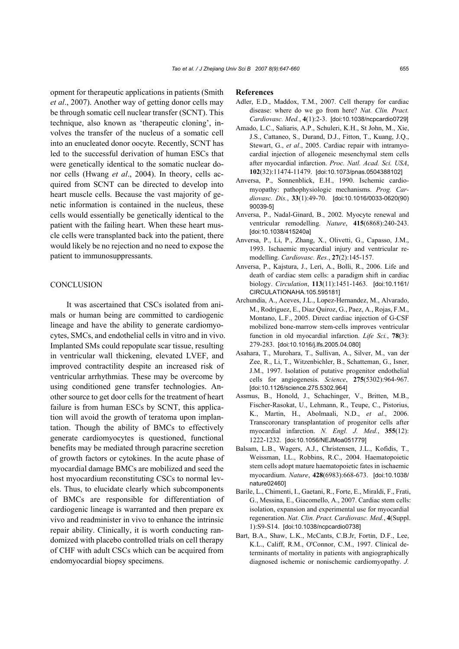opment for therapeutic applications in patients (Smith *et al*., 2007). Another way of getting donor cells may be through somatic cell nuclear transfer (SCNT). This technique, also known as 'therapeutic cloning', involves the transfer of the nucleus of a somatic cell into an enucleated donor oocyte. Recently, SCNT has led to the successful derivation of human ESCs that were genetically identical to the somatic nuclear donor cells (Hwang *et al*., 2004). In theory, cells acquired from SCNT can be directed to develop into heart muscle cells. Because the vast majority of genetic information is contained in the nucleus, these cells would essentially be genetically identical to the patient with the failing heart. When these heart muscle cells were transplanted back into the patient, there would likely be no rejection and no need to expose the patient to immunosuppressants.

## **CONCLUSION**

It was ascertained that CSCs isolated from animals or human being are committed to cardiogenic lineage and have the ability to generate cardiomyocytes, SMCs, and endothelial cells in vitro and in vivo. Implanted SMs could repopulate scar tissue, resulting in ventricular wall thickening, elevated LVEF, and improved contractility despite an increased risk of ventricular arrhythmias. These may be overcome by using conditioned gene transfer technologies. Another source to get door cells for the treatment of heart failure is from human ESCs by SCNT, this application will avoid the growth of teratoma upon implantation. Though the ability of BMCs to effectively generate cardiomyocytes is questioned, functional benefits may be mediated through paracrine secretion of growth factors or cytokines. In the acute phase of myocardial damage BMCs are mobilized and seed the host myocardium reconstituting CSCs to normal levels. Thus, to elucidate clearly which subcomponents of BMCs are responsible for differentiation of cardiogenic lineage is warranted and then prepare ex vivo and readminister in vivo to enhance the intrinsic repair ability. Clinically, it is worth conducting randomized with placebo controlled trials on cell therapy of CHF with adult CSCs which can be acquired from endomyocardial biopsy specimens.

#### **References**

- Adler, E.D., Maddox, T.M., 2007. Cell therapy for cardiac disease: where do we go from here? *Nat. Clin. Pract. Cardiovasc. Med.*, **4**(1):2-3. [doi:10.1038/ncpcardio0729]
- Amado, L.C., Saliaris, A.P., Schuleri, K.H., St John, M., Xie, J.S., Cattaneo, S., Durand, D.J., Fitton, T., Kuang, J.Q., Stewart, G., *et al*., 2005. Cardiac repair with intramyocardial injection of allogeneic mesenchymal stem cells after myocardial infarction. *Proc. Natl. Acad. Sci. USA*, **102**(32):11474-11479. [doi:10.1073/pnas.0504388102]
- Anversa, P., Sonnenblick, E.H., 1990. Ischemic cardiomyopathy: pathophysiologic mechanisms. *Prog. Cardiovasc. Dis.*, **33**(1):49-70. [doi:10.1016/0033-0620(90) 90039-5]
- Anversa, P., Nadal-Ginard, B., 2002. Myocyte renewal and ventricular remodelling. *Nature*, **415**(6868):240-243. [doi:10.1038/415240a]
- Anversa, P., Li, P., Zhang, X., Olivetti, G., Capasso, J.M., 1993. Ischaemic myocardial injury and ventricular remodelling. *Cardiovasc. Res.*, **27**(2):145-157.
- Anversa, P., Kajstura, J., Leri, A., Bolli, R., 2006. Life and death of cardiac stem cells: a paradigm shift in cardiac biology. *Circulation*, **113**(11):1451-1463. [doi:10.1161/ CIRCULATIONAHA.105.595181]
- Archundia, A., Aceves, J.L., Lopez-Hernandez, M., Alvarado, M., Rodriguez, E., Diaz Quiroz, G., Paez, A., Rojas, F.M., Montano, L.F., 2005. Direct cardiac injection of G-CSF mobilized bone-marrow stem-cells improves ventricular function in old myocardial infarction. *Life Sci.*, **78**(3): 279-283. [doi:10.1016/j.lfs.2005.04.080]
- Asahara, T., Murohara, T., Sullivan, A., Silver, M., van der Zee, R., Li, T., Witzenbichler, B., Schatteman, G., Isner, J.M., 1997. Isolation of putative progenitor endothelial cells for angiogenesis. *Science*, **275**(5302):964-967. [doi:10.1126/science.275.5302.964]
- Assmus, B., Honold, J., Schachinger, V., Britten, M.B., Fischer-Rasokat, U., Lehmann, R., Teupe, C., Pistorius, K., Martin, H., Abolmaali, N.D., *et al*., 2006. Transcoronary transplantation of progenitor cells after myocardial infarction. *N. Engl. J. Med.*, **355**(12): 1222-1232. [doi:10.1056/NEJMoa051779]
- Balsam, L.B., Wagers, A.J., Christensen, J.L., Kofidis, T., Weissman, I.L., Robbins, R.C., 2004. Haematopoietic stem cells adopt mature haematopoietic fates in ischaemic myocardium. *Nature*, **428**(6983):668-673. [doi:10.1038/ nature02460]
- Barile, L., Chimenti, I., Gaetani, R., Forte, E., Miraldi, F., Frati, G., Messina, E., Giacomello, A., 2007. Cardiac stem cells: isolation, expansion and experimental use for myocardial regeneration. *Nat. Clin. Pract. Cardiovasc. Med.*, **4**(Suppl. 1):S9-S14. [doi:10.1038/ncpcardio0738]
- Bart, B.A., Shaw, L.K., McCants, C.B.Jr, Fortin, D.F., Lee, K.L., Califf, R.M., O'Connor, C.M., 1997. Clinical determinants of mortality in patients with angiographically diagnosed ischemic or nonischemic cardiomyopathy. *J.*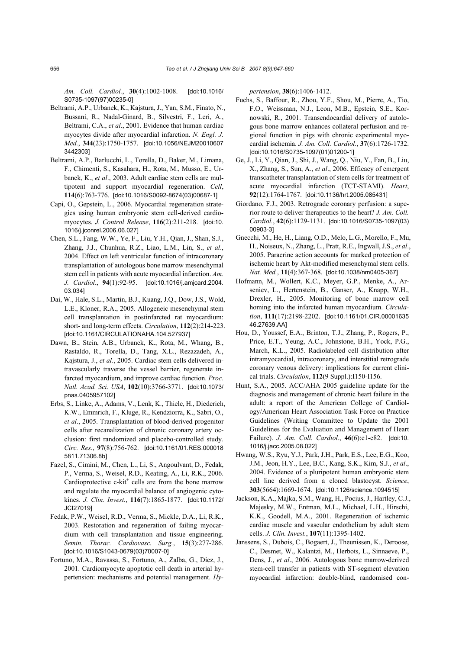*Am. Coll. Cardiol.*, **30**(4):1002-1008. [doi:10.1016/ S0735-1097(97)00235-0]

- Beltrami, A.P., Urbanek, K., Kajstura, J., Yan, S.M., Finato, N., Bussani, R., Nadal-Ginard, B., Silvestri, F., Leri, A., Beltrami, C.A., *et al*., 2001. Evidence that human cardiac myocytes divide after myocardial infarction. *N. Engl. J. Med.*, **344**(23):1750-1757. [doi:10.1056/NEJM20010607 3442303]
- Beltrami, A.P., Barlucchi, L., Torella, D., Baker, M., Limana, F., Chimenti, S., Kasahara, H., Rota, M., Musso, E., Urbanek, K., *et al*., 2003. Adult cardiac stem cells are multipotent and support myocardial regeneration. *Cell*, **114**(6):763-776. [doi:10.1016/S0092-8674(03)00687-1]
- Capi, O., Gepstein, L., 2006. Myocardial regeneration strategies using human embryonic stem cell-derived cardiomyocytes. *J. Control Release*, **116**(2):211-218. [doi:10. 1016/j.jconrel.2006.06.027]
- Chen, S.L., Fang, W.W., Ye, F., Liu, Y.H., Qian, J., Shan, S.J., Zhang, J.J., Chunhua, R.Z., Liao, L.M., Lin, S., *et al*., 2004. Effect on left ventricular function of intracoronary transplantation of autologous bone marrow mesenchymal stem cell in patients with acute myocardial infarction. *Am. J. Cardiol.*, **94**(1):92-95. [doi:10.1016/j.amjcard.2004. 03.034]
- Dai, W., Hale, S.L., Martin, B.J., Kuang, J.Q., Dow, J.S., Wold, L.E., Kloner, R.A., 2005. Allogeneic mesenchymal stem cell transplantation in postinfarcted rat myocardium: short- and long-term effects. *Circulation*, **112**(2):214-223. [doi:10.1161/CIRCULATIONAHA.104.527937]
- Dawn, B., Stein, A.B., Urbanek, K., Rota, M., Whang, B., Rastaldo, R., Torella, D., Tang, X.L., Rezazadeh, A., Kajstura, J., *et al*., 2005. Cardiac stem cells delivered intravascularly traverse the vessel barrier, regenerate infarcted myocardium, and improve cardiac function. *Proc. Natl. Acad. Sci. USA*, **102**(10):3766-3771. [doi:10.1073/ pnas.0405957102]
- Erbs, S., Linke, A., Adams, V., Lenk, K., Thiele, H., Diederich, K.W., Emmrich, F., Kluge, R., Kendziorra, K., Sabri, O., *et al*., 2005. Transplantation of blood-derived progenitor cells after recanalization of chronic coronary artery occlusion: first randomized and placebo-controlled study. *Circ. Res.*, **97**(8):756-762. [doi:10.1161/01.RES.000018 5811.71306.8b]
- Fazel, S., Cimini, M., Chen, L., Li, S., Angoulvant, D., Fedak, P., Verma, S., Weisel, R.D., Keating, A., Li, R.K., 2006. Cardioprotective  $c$ -kit<sup>+</sup> cells are from the bone marrow and regulate the myocardial balance of angiogenic cytokines. *J. Clin. Invest.*, **116**(7):1865-1877. [doi:10.1172/ JCI27019]
- Fedak, P.W., Weisel, R.D., Verma, S., Mickle, D.A., Li, R.K., 2003. Restoration and regeneration of failing myocardium with cell transplantation and tissue engineering. *Semin. Thorac. Cardiovasc. Surg.*, **15**(3):277-286. [doi:10.1016/S1043-0679(03)70007-0]
- Fortuno, M.A., Ravassa, S., Fortuno, A., Zalba, G., Diez, J., 2001. Cardiomyocyte apoptotic cell death in arterial hypertension: mechanisms and potential management. *Hy-*

*pertension*, **38**(6):1406-1412.

- Fuchs, S., Baffour, R., Zhou, Y.F., Shou, M., Pierre, A., Tio, F.O., Weissman, N.J., Leon, M.B., Epstein, S.E., Kornowski, R., 2001. Transendocardial delivery of autologous bone marrow enhances collateral perfusion and regional function in pigs with chronic experimental myocardial ischemia. *J. Am. Coll. Cardiol.*, **37**(6):1726-1732. [doi:10.1016/S0735-1097(01)01200-1]
- Ge, J., Li, Y., Qian, J., Shi, J., Wang, Q., Niu, Y., Fan, B., Liu, X., Zhang, S., Sun, A., *et al*., 2006. Efficacy of emergent transcatheter transplantation of stem cells for treatment of acute myocardial infarction (TCT-STAMI). *Heart*, **92**(12):1764-1767. [doi:10.1136/hrt.2005.085431]
- Giordano, F.J., 2003. Retrograde coronary perfusion: a superior route to deliver therapeutics to the heart? *J. Am. Coll. Cardiol.*, **42**(6):1129-1131. [doi:10.1016/S0735-1097(03) 00903-3]
- Gnecchi, M., He, H., Liang, O.D., Melo, L.G., Morello, F., Mu, H., Noiseux, N., Zhang, L., Pratt, R.E., Ingwall, J.S., *et al*., 2005. Paracrine action accounts for marked protection of ischemic heart by Akt-modified mesenchymal stem cells. *Nat. Med.*, **11**(4):367-368. [doi:10.1038/nm0405-367]
- Hofmann, M., Wollert, K.C., Meyer, G.P., Menke, A., Arseniev, L., Hertenstein, B., Ganser, A., Knapp, W.H., Drexler, H., 2005. Monitoring of bone marrow cell homing into the infarcted human myocardium. *Circulation*, **111**(17):2198-2202. [doi:10.1161/01.CIR.00001635 46.27639.AA]
- Hou, D., Youssef, E.A., Brinton, T.J., Zhang, P., Rogers, P., Price, E.T., Yeung, A.C., Johnstone, B.H., Yock, P.G., March, K.L., 2005. Radiolabeled cell distribution after intramyocardial, intracoronary, and interstitial retrograde coronary venous delivery: implications for current clinical trials. *Circulation*, **112**(9 Suppl.):I150-I156.
- Hunt, S.A., 2005. ACC/AHA 2005 guideline update for the diagnosis and management of chronic heart failure in the adult: a report of the American College of Cardiology/American Heart Association Task Force on Practice Guidelines (Writing Committee to Update the 2001 Guidelines for the Evaluation and Management of Heart Failure). *J. Am. Coll. Cardiol.*, **46**(6):e1-e82. [doi:10. 1016/j.jacc.2005.08.022]
- Hwang, W.S., Ryu, Y.J., Park, J.H., Park, E.S., Lee, E.G., Koo, J.M., Jeon, H.Y., Lee, B.C., Kang, S.K., Kim, S.J., *et al*., 2004. Evidence of a pluripotent human embryonic stem cell line derived from a cloned blastocyst. *Science*, **303**(5664):1669-1674. [doi:10.1126/science.1094515]
- Jackson, K.A., Majka, S.M., Wang, H., Pocius, J., Hartley, C.J., Majesky, M.W., Entman, M.L., Michael, L.H., Hirschi, K.K., Goodell, M.A., 2001. Regeneration of ischemic cardiac muscle and vascular endothelium by adult stem cells. *J. Clin. Invest.*, **107**(11):1395-1402.
- Janssens, S., Dubois, C., Bogaert, J., Theunissen, K., Deroose, C., Desmet, W., Kalantzi, M., Herbots, L., Sinnaeve, P., Dens, J., *et al*., 2006. Autologous bone marrow-derived stem-cell transfer in patients with ST-segment elevation myocardial infarction: double-blind, randomised con-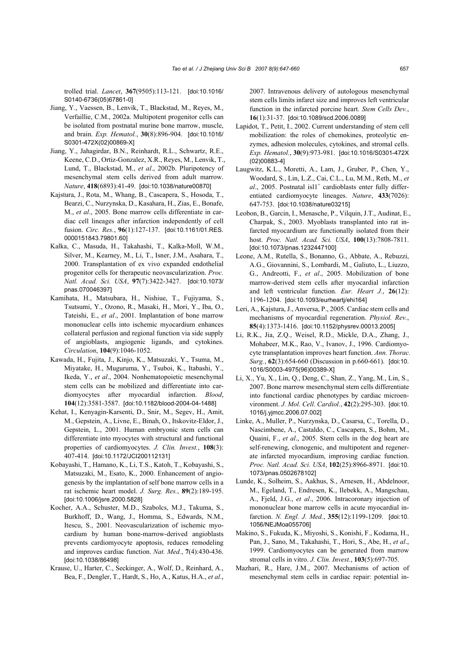trolled trial. *Lancet*, **367**(9505):113-121. [doi:10.1016/ S0140-6736(05)67861-0]

- Jiang, Y., Vaessen, B., Lenvik, T., Blackstad, M., Reyes, M., Verfaillie, C.M., 2002a. Multipotent progenitor cells can be isolated from postnatal murine bone marrow, muscle, and brain. *Exp. Hematol.*, **30**(8):896-904. [doi:10.1016/ S0301-472X(02)00869-X]
- Jiang, Y., Jahagirdar, B.N., Reinhardt, R.L., Schwartz, R.E., Keene, C.D., Ortiz-Gonzalez, X.R., Reyes, M., Lenvik, T., Lund, T., Blackstad, M., *et al*., 2002b. Pluripotency of mesenchymal stem cells derived from adult marrow. *Nature*, **418**(6893):41-49. [doi:10.1038/nature00870]
- Kajstura, J., Rota, M., Whang, B., Cascapera, S., Hosoda, T., Bearzi, C., Nurzynska, D., Kasahara, H., Zias, E., Bonafe, M., *et al*., 2005. Bone marrow cells differentiate in cardiac cell lineages after infarction independently of cell fusion. *Circ. Res.*, **96**(1):127-137. [doi:10.1161/01.RES. 0000151843.79801.60]
- Kalka, C., Masuda, H., Takahashi, T., Kalka-Moll, W.M., Silver, M., Kearney, M., Li, T., Isner, J.M., Asahara, T., 2000. Transplantation of ex vivo expanded endothelial progenitor cells for therapeutic neovascularization. *Proc. Natl. Acad. Sci. USA*, **97**(7):3422-3427. [doi:10.1073/ pnas.070046397]
- Kamihata, H., Matsubara, H., Nishiue, T., Fujiyama, S., Tsutsumi, Y., Ozono, R., Masaki, H., Mori, Y., Iba, O., Tateishi, E., *et al*., 2001. Implantation of bone marrow mononuclear cells into ischemic myocardium enhances collateral perfusion and regional function via side supply of angioblasts, angiogenic ligands, and cytokines. *Circulation*, **104**(9):1046-1052.
- Kawada, H., Fujita, J., Kinjo, K., Matsuzaki, Y., Tsuma, M., Miyatake, H., Muguruma, Y., Tsuboi, K., Itabashi, Y., Ikeda, Y., *et al*., 2004. Nonhematopoietic mesenchymal stem cells can be mobilized and differentiate into cardiomyocytes after myocardial infarction. *Blood*, **104**(12):3581-3587. [doi:10.1182/blood-2004-04-1488]
- Kehat, I., Kenyagin-Karsenti, D., Snir, M., Segev, H., Amit, M., Gepstein, A., Livne, E., Binah, O., Itskovitz-Eldor, J., Gepstein, L., 2001. Human embryonic stem cells can differentiate into myocytes with structural and functional properties of cardiomyocytes. *J. Clin. Invest.*, **108**(3): 407-414. [doi:10.1172/JCI200112131]
- Kobayashi, T., Hamano, K., Li, T.S., Katoh, T., Kobayashi, S., Matsuzaki, M., Esato, K., 2000. Enhancement of angiogenesis by the implantation of self bone marrow cells in a rat ischemic heart model. *J. Surg. Res.*, **89**(2):189-195. [doi:10.1006/jsre.2000.5828]
- Kocher, A.A., Schuster, M.D., Szabolcs, M.J., Takuma, S., Burkhoff, D., Wang, J., Homma, S., Edwards, N.M., Itescu, S., 2001. Neovascularization of ischemic myocardium by human bone-marrow-derived angioblasts prevents cardiomyocyte apoptosis, reduces remodeling and improves cardiac function. *Nat. Med.*, **7**(4):430-436. [doi:10.1038/86498]
- Krause, U., Harter, C., Seckinger, A., Wolf, D., Reinhard, A., Bea, F., Dengler, T., Hardt, S., Ho, A., Katus, H.A., *et al*.,

2007. Intravenous delivery of autologous mesenchymal stem cells limits infarct size and improves left ventricular function in the infarcted porcine heart. *Stem Cells Dev.*, **16**(1):31-37. [doi:10.1089/scd.2006.0089]

- Lapidot, T., Petit, I., 2002. Current understanding of stem cell mobilization: the roles of chemokines, proteolytic enzymes, adhesion molecules, cytokines, and stromal cells. *Exp. Hematol.*, **30**(9):973-981. [doi:10.1016/S0301-472X (02)00883-4]
- Laugwitz, K.L., Moretti, A., Lam, J., Gruber, P., Chen, Y., Woodard, S., Lin, L.Z., Cai, C.L., Lu, M.M., Reth, M., *et*   $al$ , 2005. Postnatal isl1<sup>+</sup> cardioblasts enter fully differentiated cardiomyocyte lineages. *Nature*, **433**(7026): 647-753. [doi:10.1038/nature03215]
- Leobon, B., Garcin, I., Menasche, P., Vilquin, J.T., Audinat, E., Charpak, S., 2003. Myoblasts transplanted into rat infarcted myocardium are functionally isolated from their host. *Proc. Natl. Acad. Sci. USA*, **100**(13):7808-7811. [doi:10.1073/pnas.1232447100]
- Leone, A.M., Rutella, S., Bonanno, G., Abbate, A., Rebuzzi, A.G., Giovannini, S., Lombardi, M., Galiuto, L., Liuzzo, G., Andreotti, F., *et al*., 2005. Mobilization of bone marrow-derived stem cells after myocardial infarction and left ventricular function. *Eur. Heart J.*, **26**(12): 1196-1204. [doi:10.1093/eurheartj/ehi164]
- Leri, A., Kajstura, J., Anversa, P., 2005. Cardiac stem cells and mechanisms of myocardial regeneration. *Physiol. Rev.*, **85**(4):1373-1416. [doi:10.1152/physrev.00013.2005]
- Li, R.K., Jia, Z.Q., Weisel, R.D., Mickle, D.A., Zhang, J., Mohabeer, M.K., Rao, V., Ivanov, J., 1996. Cardiomyocyte transplantation improves heart function. *Ann. Thorac. Surg.*, **62**(3):654-660 (Discussion in p.660-661). [doi:10. 1016/S0003-4975(96)00389-X]
- Li, X., Yu, X., Lin, Q., Deng, C., Shan, Z., Yang, M., Lin, S., 2007. Bone marrow mesenchymal stem cells differentiate into functional cardiac phenotypes by cardiac microenvironment. *J. Mol. Cell. Cardiol.*, **42**(2):295-303. [doi:10. 1016/j.yjmcc.2006.07.002]
- Linke, A., Muller, P., Nurzynska, D., Casarsa, C., Torella, D., Nascimbene, A., Castaldo, C., Cascapera, S., Bohm, M., Quaini, F., *et al*., 2005. Stem cells in the dog heart are self-renewing, clonogenic, and multipotent and regenerate infarcted myocardium, improving cardiac function. *Proc. Natl. Acad. Sci. USA*, **102**(25):8966-8971. [doi:10. 1073/pnas.0502678102]
- Lunde, K., Solheim, S., Aakhus, S., Arnesen, H., Abdelnoor, M., Egeland, T., Endresen, K., Ilebekk, A., Mangschau, A., Fjeld, J.G., *et al*., 2006. Intracoronary injection of mononuclear bone marrow cells in acute myocardial infarction. *N. Engl. J. Med.*, **355**(12):1199-1209. [doi:10. 1056/NEJMoa055706]
- Makino, S., Fukuda, K., Miyoshi, S., Konishi, F., Kodama, H., Pan, J., Sano, M., Takahashi, T., Hori, S., Abe, H., *et al*., 1999. Cardiomyocytes can be generated from marrow stromal cells in vitro. *J. Clin. Invest.*, **103**(5):697-705.
- Mazhari, R., Hare, J.M., 2007. Mechanisms of action of mesenchymal stem cells in cardiac repair: potential in-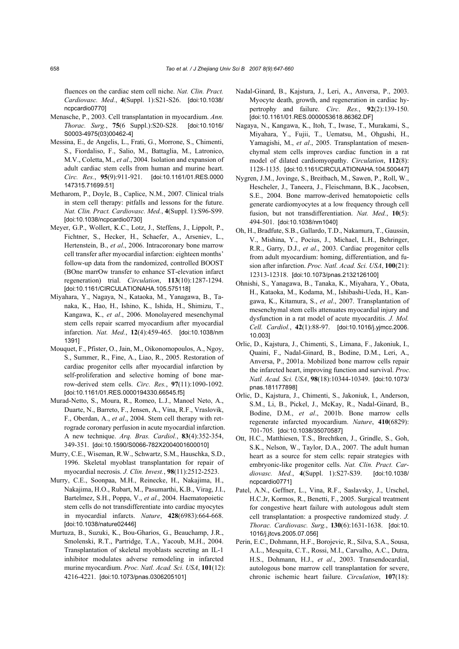fluences on the cardiac stem cell niche. *Nat. Clin. Pract. Cardiovasc. Med.*, **4**(Suppl. 1):S21-S26. [doi:10.1038/ ncpcardio0770]

- Menasche, P., 2003. Cell transplantation in myocardium. *Ann. Thorac. Surg.*, **75**(6 Suppl.):S20-S28. [doi:10.1016/ S0003-4975(03)00462-4]
- Messina, E., de Angelis, L., Frati, G., Morrone, S., Chimenti, S., Fiordaliso, F., Salio, M., Battaglia, M., Latronico, M.V., Coletta, M., *et al*., 2004. Isolation and expansion of adult cardiac stem cells from human and murine heart. *Circ. Res.*, **95**(9):911-921. [doi:10.1161/01.RES.0000 147315.71699.51]
- Metharom, P., Doyle, B., Caplice, N.M., 2007. Clinical trials in stem cell therapy: pitfalls and lessons for the future. *Nat. Clin. Pract. Cardiovasc. Med.*, **4**(Suppl. 1):S96-S99. [doi:10.1038/ncpcardio0730]
- Meyer, G.P., Wollert, K.C., Lotz, J., Steffens, J., Lippolt, P., Fichtner, S., Hecker, H., Schaefer, A., Arseniev, L., Hertenstein, B., *et al*., 2006. Intracoronary bone marrow cell transfer after myocardial infarction: eighteen months' follow-up data from the randomized, controlled BOOST (BOne marrOw transfer to enhance ST-elevation infarct regeneration) trial. *Circulation*, **113**(10):1287-1294. [doi:10.1161/CIRCULATIONAHA.105.575118]
- Miyahara, Y., Nagaya, N., Kataoka, M., Yanagawa, B., Tanaka, K., Hao, H., Ishino, K., Ishida, H., Shimizu, T., Kangawa, K., *et al*., 2006. Monolayered mesenchymal stem cells repair scarred myocardium after myocardial infarction. *Nat. Med.*, **12**(4):459-465. [doi:10.1038/nm 1391]
- Mouquet, F., Pfister, O., Jain, M., Oikonomopoulos, A., Ngoy, S., Summer, R., Fine, A., Liao, R., 2005. Restoration of cardiac progenitor cells after myocardial infarction by self-proliferation and selective homing of bone marrow-derived stem cells. *Circ. Res.*, **97**(11):1090-1092. [doi:10.1161/01.RES.0000194330.66545.f5]
- Murad-Netto, S., Moura, R., Romeo, L.J., Manoel Neto, A., Duarte, N., Barreto, F., Jensen, A., Vina, R.F., Vraslovik, F., Oberdan, A., *et al*., 2004. Stem cell therapy with retrograde coronary perfusion in acute myocardial infarction. A new technique. *Arq. Bras. Cardiol.*, **83**(4):352-354, 349-351. [doi:10.1590/S0066-782X2004001600010]
- Murry, C.E., Wiseman, R.W., Schwartz, S.M., Hauschka, S.D., 1996. Skeletal myoblast transplantation for repair of myocardial necrosis. *J. Clin. Invest.*, **98**(11):2512-2523.
- Murry, C.E., Soonpaa, M.H., Reinecke, H., Nakajima, H., Nakajima, H.O., Rubart, M., Pasumarthi, K.B., Virag, J.I., Bartelmez, S.H., Poppa, V., *et al*., 2004. Haematopoietic stem cells do not transdifferentiate into cardiac myocytes in myocardial infarcts. *Nature*, **428**(6983):664-668. [doi:10.1038/nature02446]
- Murtuza, B., Suzuki, K., Bou-Gharios, G., Beauchamp, J.R., Smolenski, R.T., Partridge, T.A., Yacoub, M.H., 2004. Transplantation of skeletal myoblasts secreting an IL-1 inhibitor modulates adverse remodeling in infarcted murine myocardium. *Proc. Natl. Acad. Sci. USA*, **101**(12): 4216-4221. [doi:10.1073/pnas.0306205101]
- Nadal-Ginard, B., Kajstura, J., Leri, A., Anversa, P., 2003. Myocyte death, growth, and regeneration in cardiac hypertrophy and failure. *Circ. Res.*, **92**(2):139-150. [doi:10.1161/01.RES.0000053618.86362.DF]
- Nagaya, N., Kangawa, K., Itoh, T., Iwase, T., Murakami, S., Miyahara, Y., Fujii, T., Uematsu, M., Ohgushi, H., Yamagishi, M., *et al*., 2005. Transplantation of mesenchymal stem cells improves cardiac function in a rat model of dilated cardiomyopathy. *Circulation*, **112**(8): 1128-1135. [doi:10.1161/CIRCULATIONAHA.104.500447]
- Nygren, J.M., Jovinge, S., Breitbach, M., Sawen, P., Roll, W., Hescheler, J., Taneera, J., Fleischmann, B.K., Jacobsen, S.E., 2004. Bone marrow-derived hematopoietic cells generate cardiomyocytes at a low frequency through cell fusion, but not transdifferentiation. *Nat. Med.*, **10**(5): 494-501. [doi:10.1038/nm1040]
- Oh, H., Bradfute, S.B., Gallardo, T.D., Nakamura, T., Gaussin, V., Mishina, Y., Pocius, J., Michael, L.H., Behringer, R.R., Garry, D.J., *et al*., 2003. Cardiac progenitor cells from adult myocardium: homing, differentiation, and fusion after infarction. *Proc. Natl. Acad. Sci. USA*, **100**(21): 12313-12318. [doi:10.1073/pnas.2132126100]
- Ohnishi, S., Yanagawa, B., Tanaka, K., Miyahara, Y., Obata, H., Kataoka, M., Kodama, M., Ishibashi-Ueda, H., Kangawa, K., Kitamura, S., *et al*., 2007. Transplantation of mesenchymal stem cells attenuates myocardial injury and dysfunction in a rat model of acute myocarditis. *J. Mol. Cell. Cardiol.*, **42**(1):88-97. [doi:10.1016/j.yjmcc.2006. 10.003]
- Orlic, D., Kajstura, J., Chimenti, S., Limana, F., Jakoniuk, I., Quaini, F., Nadal-Ginard, B., Bodine, D.M., Leri, A., Anversa, P., 2001a. Mobilized bone marrow cells repair the infarcted heart, improving function and survival. *Proc. Natl. Acad. Sci. USA*, **98**(18):10344-10349. [doi:10.1073/ pnas.181177898]
- Orlic, D., Kajstura, J., Chimenti, S., Jakoniuk, I., Anderson, S.M., Li, B., Pickel, J., McKay, R., Nadal-Ginard, B., Bodine, D.M., *et al*., 2001b. Bone marrow cells regenerate infarcted myocardium. *Nature*, **410**(6829): 701-705. [doi:10.1038/35070587]
- Ott, H.C., Matthiesen, T.S., Brechtken, J., Grindle, S., Goh, S.K., Nelson, W., Taylor, D.A., 2007. The adult human heart as a source for stem cells: repair strategies with embryonic-like progenitor cells. *Nat. Clin. Pract. Cardiovasc. Med.*, **4**(Suppl. 1):S27-S39. [doi:10.1038/ ncpcardio0771]
- Patel, A.N., Geffner, L., Vina, R.F., Saslavsky, J., Urschel, H.C.Jr, Kormos, R., Benetti, F., 2005. Surgical treatment for congestive heart failure with autologous adult stem cell transplantation: a prospective randomized study. *J. Thorac. Cardiovasc. Surg.*, **130**(6):1631-1638. [doi:10. 1016/j.jtcvs.2005.07.056]
- Perin, E.C., Dohmann, H.F., Borojevic, R., Silva, S.A., Sousa, A.L., Mesquita, C.T., Rossi, M.I., Carvalho, A.C., Dutra, H.S., Dohmann, H.J., *et al*., 2003. Transendocardial, autologous bone marrow cell transplantation for severe, chronic ischemic heart failure. *Circulation*, **107**(18):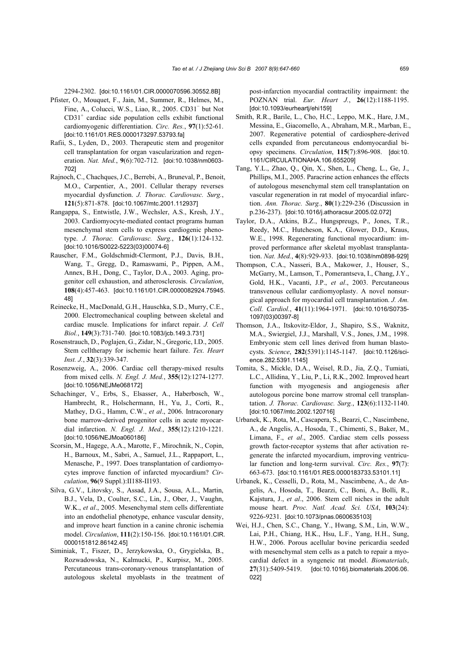2294-2302. [doi:10.1161/01.CIR.0000070596.30552.8B]

- Pfister, O., Mouquet, F., Jain, M., Summer, R., Helmes, M., Fine, A., Colucci, W.S., Liao, R., 2005. CD31<sup>−</sup> but Not CD31+ cardiac side population cells exhibit functional cardiomyogenic differentiation. *Circ. Res.*, **97**(1):52-61. [doi:10.1161/01.RES.0000173297.53793.fa]
- Rafii, S., Lyden, D., 2003. Therapeutic stem and progenitor cell transplantation for organ vascularization and regeneration. *Nat. Med.*, **9**(6):702-712. [doi:10.1038/nm0603- 702]
- Rajnoch, C., Chachques, J.C., Berrebi, A., Bruneval, P., Benoit, M.O., Carpentier, A., 2001. Cellular therapy reverses myocardial dysfunction. *J. Thorac. Cardiovasc. Surg.*, **121**(5):871-878. [doi:10.1067/mtc.2001.112937]
- Rangappa, S., Entwistle, J.W., Wechsler, A.S., Kresh, J.Y., 2003. Cardiomyocyte-mediated contact programs human mesenchymal stem cells to express cardiogenic phenotype. *J. Thorac. Cardiovasc. Surg.*, **126**(1):124-132. [doi:10.1016/S0022-5223(03)00074-6]
- Rauscher, F.M., Goldschmidt-Clermont, P.J., Davis, B.H., Wang, T., Gregg, D., Ramaswami, P., Pippen, A.M., Annex, B.H., Dong, C., Taylor, D.A., 2003. Aging, progenitor cell exhaustion, and atherosclerosis. *Circulation*, **108**(4):457-463. [doi:10.1161/01.CIR.0000082924.75945. 48]
- Reinecke, H., MacDonald, G.H., Hauschka, S.D., Murry, C.E., 2000. Electromechanical coupling between skeletal and cardiac muscle. Implications for infarct repair. *J. Cell Biol.*, **149**(3):731-740. [doi:10.1083/jcb.149.3.731]
- Rosenstrauch, D., Poglajen, G., Zidar, N., Gregoric, I.D., 2005. Stem celltherapy for ischemic heart failure. *Tex. Heart Inst. J.*, **32**(3):339-347.
- Rosenzweig, A., 2006. Cardiac cell therapy-mixed results from mixed cells. *N. Engl. J. Med.*, **355**(12):1274-1277. [doi:10.1056/NEJMe068172]
- Schachinger, V., Erbs, S., Elsasser, A., Haberbosch, W., Hambrecht, R., Holschermann, H., Yu, J., Corti, R., Mathey, D.G., Hamm, C.W., *et al*., 2006. Intracoronary bone marrow-derived progenitor cells in acute myocardial infarction. *N. Engl. J. Med.*, **355**(12):1210-1221. [doi:10.1056/NEJMoa060186]
- Scorsin, M., Hagege, A.A., Marotte, F., Mirochnik, N., Copin, H., Barnoux, M., Sabri, A., Samuel, J.L., Rappaport, L., Menasche, P., 1997. Does transplantation of cardiomyocytes improve function of infarcted myocardium? *Circulation*, **96**(9 Suppl.):II188-II193.
- Silva, G.V., Litovsky, S., Assad, J.A., Sousa, A.L., Martin, B.J., Vela, D., Coulter, S.C., Lin, J., Ober, J., Vaughn, W.K., *et al*., 2005. Mesenchymal stem cells differentiate into an endothelial phenotype, enhance vascular density, and improve heart function in a canine chronic ischemia model. *Circulation*, **111**(2):150-156. [doi:10.1161/01.CIR. 0000151812.86142.45]
- Siminiak, T., Fiszer, D., Jerzykowska, O., Grygielska, B., Rozwadowska, N., Kalmucki, P., Kurpisz, M., 2005. Percutaneous trans-coronary-venous transplantation of autologous skeletal myoblasts in the treatment of

post-infarction myocardial contractility impairment: the POZNAN trial. *Eur. Heart J.*, **26**(12):1188-1195. [doi:10.1093/eurheartj/ehi159]

- Smith, R.R., Barile, L., Cho, H.C., Leppo, M.K., Hare, J.M., Messina, E., Giacomello, A., Abraham, M.R., Marban, E., 2007. Regenerative potential of cardiosphere-derived cells expanded from percutaneous endomyocardial biopsy specimens. *Circulation*, **115**(7):896-908. [doi:10. 1161/CIRCULATIONAHA.106.655209]
- Tang, Y.L., Zhao, Q., Qin, X., Shen, L., Cheng, L., Ge, J., Phillips, M.I., 2005. Paracrine action enhances the effects of autologous mesenchymal stem cell transplantation on vascular regeneration in rat model of myocardial infarction. *Ann. Thorac. Surg.*, **80**(1):229-236 (Discussion in p.236-237). [doi:10.1016/j.athoracsur.2005.02.072]
- Taylor, D.A., Atkins, B.Z., Hungspreugs, P., Jones, T.R., Reedy, M.C., Hutcheson, K.A., Glower, D.D., Kraus, W.E., 1998. Regenerating functional myocardium: improved performance after skeletal myoblast transplantation. *Nat. Med.*, **4**(8):929-933. [doi:10.1038/nm0898-929]
- Thompson, C.A., Nasseri, B.A., Makower, J., Houser, S., McGarry, M., Lamson, T., Pomerantseva, I., Chang, J.Y., Gold, H.K., Vacanti, J.P., *et al*., 2003. Percutaneous transvenous cellular cardiomyoplasty. A novel nonsurgical approach for myocardial cell transplantation. *J. Am. Coll. Cardiol.*, **41**(11):1964-1971. [doi:10.1016/S0735- 1097(03)00397-8]
- Thomson, J.A., Itskovitz-Eldor, J., Shapiro, S.S., Waknitz, M.A., Swiergiel, J.J., Marshall, V.S., Jones, J.M., 1998. Embryonic stem cell lines derived from human blastocysts. *Science*, **282**(5391):1145-1147. [doi:10.1126/science.282.5391.1145]
- Tomita, S., Mickle, D.A., Weisel, R.D., Jia, Z.Q., Tumiati, L.C., Allidina, Y., Liu, P., Li, R.K., 2002. Improved heart function with myogenesis and angiogenesis after autologous porcine bone marrow stromal cell transplantation. *J. Thorac. Cardiovasc. Surg.*, **123**(6):1132-1140. [doi:10.1067/mtc.2002.120716]
- Urbanek, K., Rota, M., Cascapera, S., Bearzi, C., Nascimbene, A., de Angelis, A., Hosoda, T., Chimenti, S., Baker, M., Limana, F., *et al*., 2005. Cardiac stem cells possess growth factor-receptor systems that after activation regenerate the infarcted myocardium, improving ventricular function and long-term survival. *Circ. Res.*, **97**(7): 663-673. [doi:10.1161/01.RES.0000183733.53101.11]
- Urbanek, K., Cesselli, D., Rota, M., Nascimbene, A., de Angelis, A., Hosoda, T., Bearzi, C., Boni, A., Bolli, R., Kajstura, J., *et al*., 2006. Stem cell niches in the adult mouse heart. *Proc. Natl. Acad. Sci. USA*, **103**(24): 9226-9231. [doi:10.1073/pnas.0600635103]
- Wei, H.J., Chen, S.C., Chang, Y., Hwang, S.M., Lin, W.W., Lai, P.H., Chiang, H.K., Hsu, L.F., Yang, H.H., Sung, H.W., 2006. Porous acellular bovine pericardia seeded with mesenchymal stem cells as a patch to repair a myocardial defect in a syngeneic rat model. *Biomaterials*, **27**(31):5409-5419. [doi:10.1016/j.biomaterials.2006.06. 022]